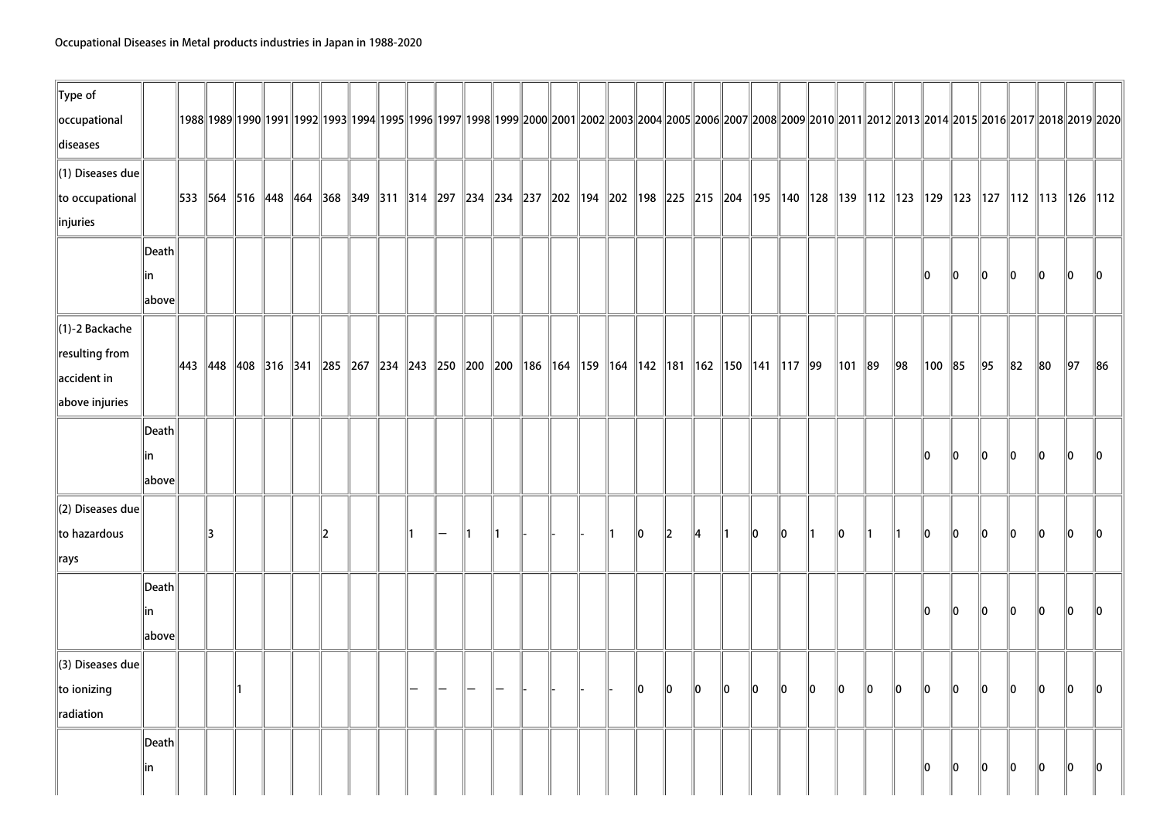| $\ $ Type of                 |                 |    |  |               |                                                                                                                                                                                                           |    |               |    |               |  |    |    |           |     |         |         |         |         |              |    |     |        |         |                |          |          |            |        |
|------------------------------|-----------------|----|--|---------------|-----------------------------------------------------------------------------------------------------------------------------------------------------------------------------------------------------------|----|---------------|----|---------------|--|----|----|-----------|-----|---------|---------|---------|---------|--------------|----|-----|--------|---------|----------------|----------|----------|------------|--------|
| occupational<br>diseases     |                 |    |  |               | 1992  1992  1992  1993  1993  1994  1995  1996  1997  1998  1999  2000  2001  2002  2003  2004  2005  2006  2007  2008  2009  2010  2011  2012  2013  2014  2015  2016  2017  2018  2019  2020            |    |               |    |               |  |    |    |           |     |         |         |         |         |              |    |     |        |         |                |          |          |            |        |
| $\ $ (1) Diseases due        |                 |    |  |               |                                                                                                                                                                                                           |    |               |    |               |  |    |    |           |     |         |         |         |         |              |    |     |        |         |                |          |          |            |        |
| to occupational              |                 |    |  |               | 533   564   516   448   464   368   349   311   314   297   234   234   237   202   194   202   198   225   215   204   195   140   128   139   112   123   129   123   127   112   112   113   126   112 |    |               |    |               |  |    |    |           |     |         |         |         |         |              |    |     |        |         |                |          |          |            |        |
| linjuries                    |                 |    |  |               |                                                                                                                                                                                                           |    |               |    |               |  |    |    |           |     |         |         |         |         |              |    |     |        |         |                |          |          |            |        |
|                              | $\ $ Death $\ $ |    |  |               |                                                                                                                                                                                                           |    |               |    |               |  |    |    |           |     |         |         |         |         |              |    |     |        |         |                |          |          |            |        |
|                              | lin             |    |  |               |                                                                                                                                                                                                           |    |               |    |               |  |    |    |           |     |         |         |         |         |              |    |     | 10     | 10      | 10             | 10       | 10       | 10         | 10     |
|                              | above           |    |  |               |                                                                                                                                                                                                           |    |               |    |               |  |    |    |           |     |         |         |         |         |              |    |     |        |         |                |          |          |            |        |
| (1)-2 Backache               |                 |    |  |               |                                                                                                                                                                                                           |    |               |    |               |  |    |    |           |     |         |         |         |         |              |    |     |        |         |                |          |          |            |        |
| resulting from               |                 |    |  |               | 443   448   408   316   341   285   267   234   243   250   200   200   186   164   159   164   142   181   162   150   141   117   99                                                                    |    |               |    |               |  |    |    |           |     |         |         |         |         | $\ 101\ $ 89 |    | 98  | 100 85 |         | $\parallel$ 95 | $\ 82\ $ | $\ 80\ $ | $\vert$ 97 | $\ 86$ |
| $\parallel$ accident in      |                 |    |  |               |                                                                                                                                                                                                           |    |               |    |               |  |    |    |           |     |         |         |         |         |              |    |     |        |         |                |          |          |            |        |
| above injuries               |                 |    |  |               |                                                                                                                                                                                                           |    |               |    |               |  |    |    |           |     |         |         |         |         |              |    |     |        |         |                |          |          |            |        |
|                              | $\ $ Death $\ $ |    |  |               |                                                                                                                                                                                                           |    |               |    |               |  |    |    |           |     |         |         |         |         |              |    |     |        |         |                |          |          |            |        |
|                              | lin             |    |  |               |                                                                                                                                                                                                           |    |               |    |               |  |    |    |           |     |         |         |         |         |              |    |     | l0     | 10      | 10             | 10       | 10       | l0         | l0     |
|                              | above           |    |  |               |                                                                                                                                                                                                           |    |               |    |               |  |    |    |           |     |         |         |         |         |              |    |     |        |         |                |          |          |            |        |
| $\parallel$ (2) Diseases due |                 |    |  |               |                                                                                                                                                                                                           |    |               |    |               |  |    |    |           |     |         |         |         |         |              |    |     |        |         |                |          |          |            |        |
| to hazardous                 |                 | 13 |  | $\mathbb{I}2$ |                                                                                                                                                                                                           | ∥1 | $\mathbb{I}-$ | ∥1 | $\parallel$ 1 |  | ∥1 | 10 | $\vert$ 2 | 14  | ∥1      | 10      | 10      | ∥1      | 10           | ∥1 | ∥1  | 10     | 10      | 10             | 10       | 10       | 10         | 10     |
| $\parallel$ rays             |                 |    |  |               |                                                                                                                                                                                                           |    |               |    |               |  |    |    |           |     |         |         |         |         |              |    |     |        |         |                |          |          |            |        |
|                              | Death           |    |  |               |                                                                                                                                                                                                           |    |               |    |               |  |    |    |           |     |         |         |         |         |              |    |     |        |         |                |          |          |            |        |
|                              | lin             |    |  |               |                                                                                                                                                                                                           |    |               |    |               |  |    |    |           |     |         |         |         |         |              |    |     | 10     | 10      | $\ 0\ $        | 10       | $\ 0\ $  | 10         | 10     |
|                              | above           |    |  |               |                                                                                                                                                                                                           |    |               |    |               |  |    |    |           |     |         |         |         |         |              |    |     |        |         |                |          |          |            |        |
| $\parallel$ (3) Diseases due |                 |    |  |               |                                                                                                                                                                                                           |    |               |    |               |  |    |    |           |     |         |         |         |         |              |    |     |        |         |                |          |          |            |        |
| to ionizing                  |                 |    |  |               |                                                                                                                                                                                                           |    |               |    |               |  |    | 10 | $\ 0\ $   | lo. | $\ 0\ $ | $\ 0\ $ | $\ 0\ $ | $\ 0\ $ | $\ 0\ $      | 10 | llo | 10     | $\ 0\ $ | 10             | $\ 0\ $  | $\ 0\ $  | 10         | llo.   |
| radiation                    |                 |    |  |               |                                                                                                                                                                                                           |    |               |    |               |  |    |    |           |     |         |         |         |         |              |    |     |        |         |                |          |          |            |        |
|                              | $\ $ Death      |    |  |               |                                                                                                                                                                                                           |    |               |    |               |  |    |    |           |     |         |         |         |         |              |    |     |        |         |                |          |          |            |        |
|                              | in              |    |  |               |                                                                                                                                                                                                           |    |               |    |               |  |    |    |           |     |         |         |         |         |              |    |     | 10     | 10      | 10             | 10       | $\ 0\ $  | 10         | 10     |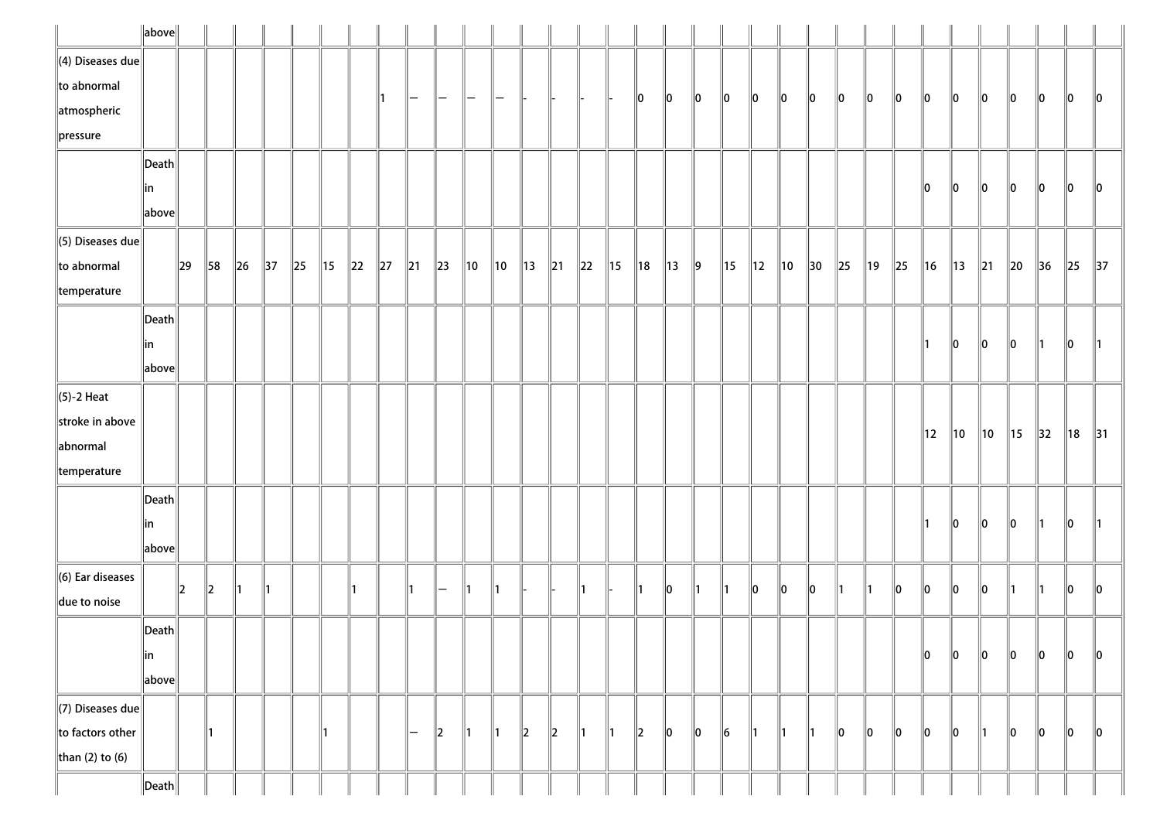|                              | $\ $ above $\ $       |          |         |          |                |        |                |          |                |        |                |                |                |                |                |               |                |                |                |               |                |                |                |                |          |                |          |                |                |                |                |                |          |                |
|------------------------------|-----------------------|----------|---------|----------|----------------|--------|----------------|----------|----------------|--------|----------------|----------------|----------------|----------------|----------------|---------------|----------------|----------------|----------------|---------------|----------------|----------------|----------------|----------------|----------|----------------|----------|----------------|----------------|----------------|----------------|----------------|----------|----------------|
| $\ $ (4) Diseases due        |                       |          |         |          |                |        |                |          |                |        |                |                |                |                |                |               |                |                |                |               |                |                |                |                |          |                |          |                |                |                |                |                |          |                |
| $\ $ to abnormal             |                       |          |         |          |                |        |                |          |                | —      | —              |                |                |                |                |               |                | $\parallel$ 0  | 10             | $\ 0\ $       | 10             | 10             | 10             | 10             | 10       | 10             | 10       | 10             | 10             | 10             | 10             | 10             | 10       | $\ 0\ $        |
| atmospheric                  |                       |          |         |          |                |        |                |          |                |        |                |                |                |                |                |               |                |                |                |               |                |                |                |                |          |                |          |                |                |                |                |                |          |                |
| $\ $ pressure                |                       |          |         |          |                |        |                |          |                |        |                |                |                |                |                |               |                |                |                |               |                |                |                |                |          |                |          |                |                |                |                |                |          |                |
|                              | $\vert$ Death $\vert$ |          |         |          |                |        |                |          |                |        |                |                |                |                |                |               |                |                |                |               |                |                |                |                |          |                |          |                |                |                |                |                |          |                |
|                              | in                    |          |         |          |                |        |                |          |                |        |                |                |                |                |                |               |                |                |                |               |                |                |                |                |          |                |          | 10             | 10             | 10             | 10             | 10             | 10       | 10             |
|                              | above                 |          |         |          |                |        |                |          |                |        |                |                |                |                |                |               |                |                |                |               |                |                |                |                |          |                |          |                |                |                |                |                |          |                |
| $\ $ (5) Diseases due        |                       |          |         |          |                |        |                |          |                |        |                |                |                |                |                |               |                |                |                |               |                |                |                |                |          |                |          |                |                |                |                |                |          |                |
| $\ $ to abnormal             |                       | $\ 29\ $ | 58      | $\ 26\ $ | $\parallel$ 37 | $\ 25$ | $\parallel$ 15 | $\ 22\ $ | $\parallel$ 27 | $\ 21$ | $\parallel$ 23 | $\parallel$ 10 | $\parallel$ 10 | $\parallel$ 13 | $\parallel$ 21 | $\ 22\ $      | $\parallel$ 15 | $\parallel$ 18 | $\parallel$ 13 | $\parallel$ 9 | $\parallel$ 15 | $\parallel$ 12 | $\parallel$ 10 | $\parallel$ 30 | $\ 25\ $ | $\parallel$ 19 | $\ 25\ $ | $\parallel$ 16 | $\parallel$ 13 | $\parallel$ 21 | $\parallel$ 20 | $\parallel$ 36 | $\ 25\ $ | $\parallel$ 37 |
| $\parallel$ temperature      |                       |          |         |          |                |        |                |          |                |        |                |                |                |                |                |               |                |                |                |               |                |                |                |                |          |                |          |                |                |                |                |                |          |                |
|                              | $\vert$ Death $\vert$ |          |         |          |                |        |                |          |                |        |                |                |                |                |                |               |                |                |                |               |                |                |                |                |          |                |          |                |                |                |                |                |          |                |
|                              | in                    |          |         |          |                |        |                |          |                |        |                |                |                |                |                |               |                |                |                |               |                |                |                |                |          |                |          |                | 10             | 10             | 10             |                | 10       | $\parallel$ 1  |
|                              | above                 |          |         |          |                |        |                |          |                |        |                |                |                |                |                |               |                |                |                |               |                |                |                |                |          |                |          |                |                |                |                |                |          |                |
| $\ $ (5)-2 Heat              |                       |          |         |          |                |        |                |          |                |        |                |                |                |                |                |               |                |                |                |               |                |                |                |                |          |                |          |                |                |                |                |                |          |                |
| stroke in above              |                       |          |         |          |                |        |                |          |                |        |                |                |                |                |                |               |                |                |                |               |                |                |                |                |          |                |          | $\parallel$ 12 |                |                |                |                |          |                |
| abnormal                     |                       |          |         |          |                |        |                |          |                |        |                |                |                |                |                |               |                |                |                |               |                |                |                |                |          |                |          |                | ∥10            | $\parallel$ 10 | ∥15            | 32             | 18       | $\parallel$ 31 |
| temperature                  |                       |          |         |          |                |        |                |          |                |        |                |                |                |                |                |               |                |                |                |               |                |                |                |                |          |                |          |                |                |                |                |                |          |                |
|                              | $\vert$ Death $\vert$ |          |         |          |                |        |                |          |                |        |                |                |                |                |                |               |                |                |                |               |                |                |                |                |          |                |          |                |                |                |                |                |          |                |
|                              | in                    |          |         |          |                |        |                |          |                |        |                |                |                |                |                |               |                |                |                |               |                |                |                |                |          |                |          |                | 10             | $\ 0\ $        | 10             | 11             | 10       | $\parallel$ 1  |
|                              | above                 |          |         |          |                |        |                |          |                |        |                |                |                |                |                |               |                |                |                |               |                |                |                |                |          |                |          |                |                |                |                |                |          |                |
| $\parallel$ (6) Ear diseases |                       |          |         |          |                |        |                |          |                |        |                |                |                |                |                |               |                |                |                | ∥1            |                |                |                |                |          |                |          |                |                |                |                |                |          |                |
| due to noise                 |                       | $\ 2\ $  | $\ 2\ $ | 11       | ∥1             |        |                |          |                |        |                |                | 11             |                |                | ∥1            |                |                | 10             |               | ∥1             | 10             | 10             | 10             | ∥1       |                | 10       | llo            | ∥o             | $\ 0\ $        | 11             | 11             | 10       | 10             |
|                              | $\ $ Death $\ $       |          |         |          |                |        |                |          |                |        |                |                |                |                |                |               |                |                |                |               |                |                |                |                |          |                |          |                |                |                |                |                |          |                |
|                              | ∥in                   |          |         |          |                |        |                |          |                |        |                |                |                |                |                |               |                |                |                |               |                |                |                |                |          |                |          | 10             | ∥o             | $\ 0\ $        | 10             | 10             | 10       | 10             |
|                              | above                 |          |         |          |                |        |                |          |                |        |                |                |                |                |                |               |                |                |                |               |                |                |                |                |          |                |          |                |                |                |                |                |          |                |
| $\Vert$ (7) Diseases due     |                       |          |         |          |                |        |                |          |                |        |                |                |                |                |                |               |                |                |                |               |                |                |                |                |          |                |          |                |                |                |                |                |          |                |
| to factors other             |                       |          | ∥1      |          |                |        | 11.            |          |                | -      | $\parallel$    | ∥1             | 11             | $\parallel$ 2  | $\parallel$ 2  | $\parallel$ 1 | $\parallel$ 1  | $\parallel$    | 10             | $\ 0\ $       | 6              | 11             | ∥1             | ∥1             | 10       | 10             | 10       | $\ 0\ $        | 10             | 11             | 10             | 10             | 10       | 10             |
| than (2) to (6)              |                       |          |         |          |                |        |                |          |                |        |                |                |                |                |                |               |                |                |                |               |                |                |                |                |          |                |          |                |                |                |                |                |          |                |
|                              | $\ $ Death $\ $       |          |         |          |                |        |                |          |                |        |                |                |                |                |                |               |                |                |                |               |                |                |                |                |          |                |          |                |                |                |                |                |          |                |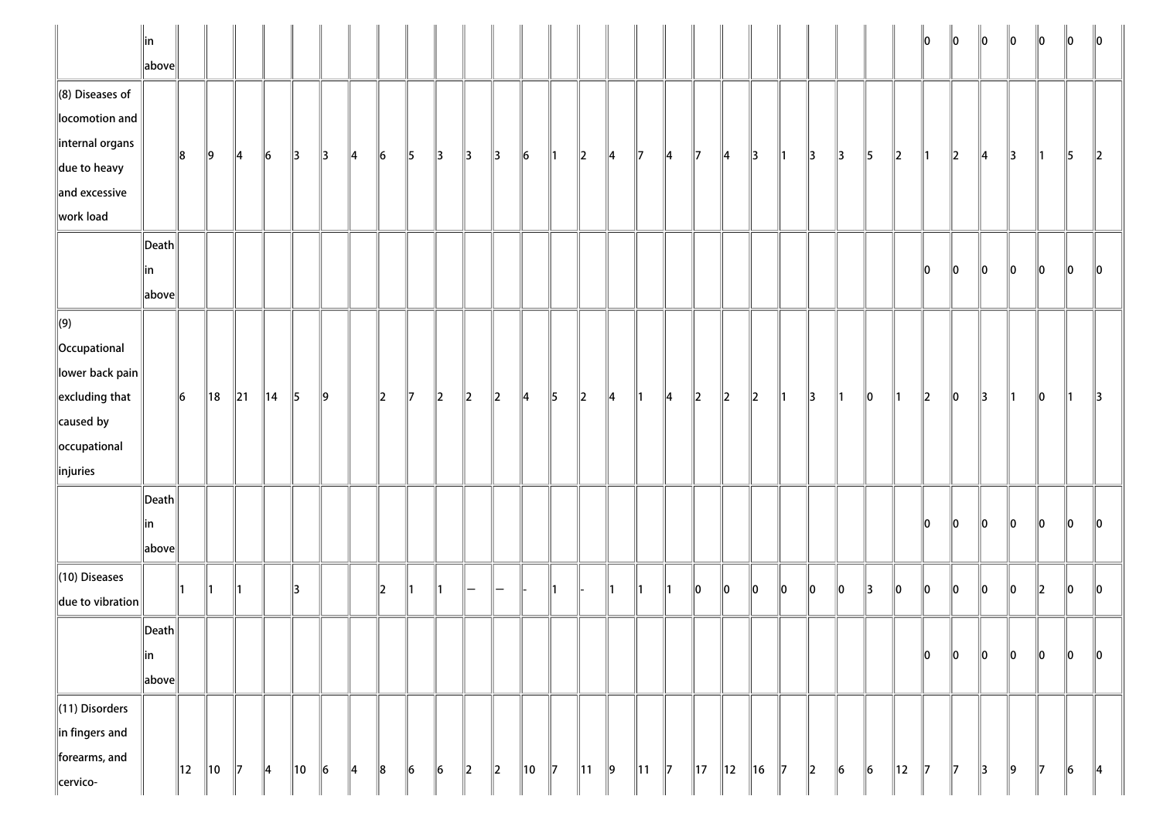|                                                                                                                                            | ∥in<br>$\ $ above $\ $                    |           |                |        |                |               |               |               |               |               |         |               |         |               |               |                |               |                |               |                |         |         |    |         |        |               |                | 10            | $\ 0\ $ | $\ 0\ $       | $\ 0\ $       | $\ 0\ $                  | $\ 0\ $   | $\parallel$ 0 |
|--------------------------------------------------------------------------------------------------------------------------------------------|-------------------------------------------|-----------|----------------|--------|----------------|---------------|---------------|---------------|---------------|---------------|---------|---------------|---------|---------------|---------------|----------------|---------------|----------------|---------------|----------------|---------|---------|----|---------|--------|---------------|----------------|---------------|---------|---------------|---------------|--------------------------|-----------|---------------|
| $\ $ (8) Diseases of<br>locomotion and<br>internal organs<br>$\parallel$ due to heavy<br>$\parallel$ and excessive<br>work load            |                                           | 8         | ∥9             | 14     | $\vert\vert$ 6 | $\parallel$ 3 | $\parallel$ 3 | 14            | $\ 6\ $       | $\parallel$ 5 | ∥3      | $\parallel$ 3 | ∥3      | $\ 6$         | ∥1            | $\ 2\ $        | 14            | 17             | 14            | 17             | 14      | 3       | ∥1 | 3       | 13     | $\vert$ 5     | $\ 2\ $        | ∥1            | $\ 2\ $ | $\parallel$ 4 | $\parallel$ 3 | ∥1                       | 5         | $\ 2\ $       |
|                                                                                                                                            | $\ $ Death $\ $<br>∥in<br>$\ $ above $\ $ |           |                |        |                |               |               |               |               |               |         |               |         |               |               |                |               |                |               |                |         |         |    |         |        |               |                | 10            | $\ 0\ $ | $\ 0\ $       | $\ 0\ $       | $\ 0\ $                  | $\ 0\ $   | 10            |
| $\Vert(9)\Vert$<br>  Occupational<br>$\ $ lower back pain $\ $<br>$\parallel$ excluding that<br>caused by<br>occupational<br>$\ $ injuries |                                           | $\vert$ 6 | $\parallel$ 18 | $\ 21$ | $\parallel$ 14 | $\parallel$ 5 | $\parallel$ 9 |               | $\parallel$ 2 | $\parallel$ 7 | $\ 2\ $ | $\ 2\ $       | $\ 2\ $ | $\parallel$ 4 | $\parallel$ 5 | $\ 2\ $        | $\parallel$ 4 | ∥1∶            | 14            | $\ 2\ $        | $\ 2\ $ | $\ 2\ $ | 1  | 3       | 1      | $\ 0\ $       | ∥1∶            | $\ 2\ $       | 10      | 3             | ∥1∶           | $\ 0\ $                  | 11        | 13            |
|                                                                                                                                            | $\ $ Death $\ $<br>∥in<br>$\ $ above $\ $ |           |                |        |                |               |               |               |               |               |         |               |         |               |               |                |               |                |               |                |         |         |    |         |        |               |                | 10            | 10      | llo.          | 10            | llo                      | 10        | ll0           |
| (10) Diseases<br>$\ $ due to vibration $\ $                                                                                                |                                           |           |                |        |                | 13            |               |               | $\vert$ 2     | 11            |         |               |         |               | 11            |                | 11            | 11             | 11            | 10             | lo      | 10      | lo | $\ _0$  | $\ _0$ | $\parallel$ 3 | $\ _0$         | $\ _0$        | $\ _0$  | $\ _0$        | $\ _0$        | $\parallel$ <sub>2</sub> | $\ _0$    | 10            |
|                                                                                                                                            | $\ $ Death $\ $<br> in<br>$\ $ above $\ $ |           |                |        |                |               |               |               |               |               |         |               |         |               |               |                |               |                |               |                |         |         |    |         |        |               |                | $\ 0\ $       | $\ _0$  | $\ _0$        | $\ _0$        | $\ _0$                   | $\ _0$    | $\ _0$        |
| $\ $ (11) Disorders<br>in fingers and<br>forearms, and<br>cervico-                                                                         |                                           | 12        | 10             | 17     | ∥4             | ∥10           | 6             | $\parallel$ 4 | $\ 8$         | $\ 6$         | $\ 6$   | $\ 2\ $       | $\ 2\ $ | 10            | $\parallel$ 7 | $\parallel$ 11 | $\ 9\ $       | $\parallel$ 11 | $\parallel$ 7 | $\parallel$ 17 | 12      | $\ $ 16 | 17 | $\ 2\ $ | $\ 6$  | $\ 6$         | $\parallel$ 12 | $\parallel$ 7 | 17      | 3             | $\ 9\ $       | $\parallel$ 7            | $\vert$ 6 | $\parallel$ 4 |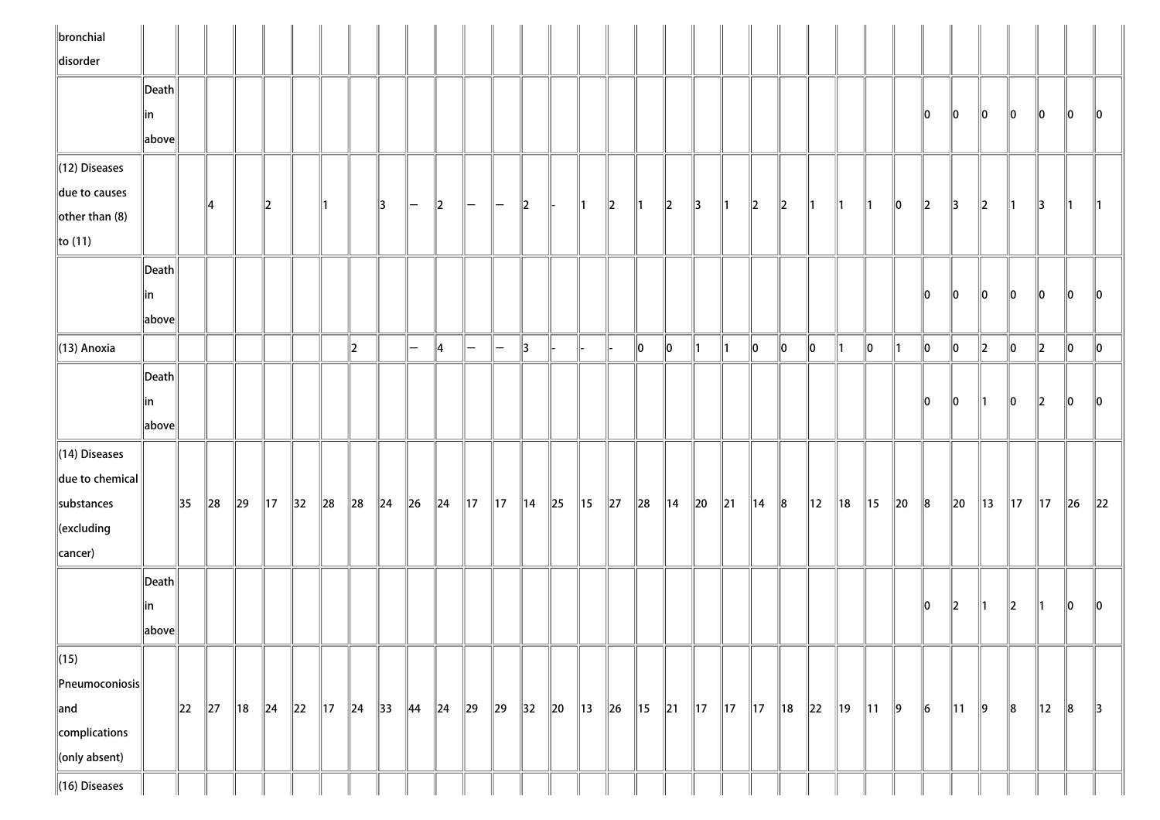| $\ $ bronchial<br>disorder                                                                              |                                                                |          |          |                |                |                |                |            |                |                                               |         |                          |                |                |        |                                                                                                          |          |               |                |               |                |                |             |                |                |                |          |           |                |         |                |                |          |                 |
|---------------------------------------------------------------------------------------------------------|----------------------------------------------------------------|----------|----------|----------------|----------------|----------------|----------------|------------|----------------|-----------------------------------------------|---------|--------------------------|----------------|----------------|--------|----------------------------------------------------------------------------------------------------------|----------|---------------|----------------|---------------|----------------|----------------|-------------|----------------|----------------|----------------|----------|-----------|----------------|---------|----------------|----------------|----------|-----------------|
|                                                                                                         | $\vert$ Death $\vert$<br> in                                   |          |          |                |                |                |                |            |                |                                               |         |                          |                |                |        |                                                                                                          |          |               |                |               |                |                |             |                |                |                |          | 10        | 10             | 10      | 10             | 10             | 10       | $\mathsf{I}$ 10 |
| $\parallel$ (12) Diseases<br>due to causes                                                              | $\left\vert \text{above}\right\vert$                           |          |          |                |                |                |                |            |                |                                               |         |                          |                |                |        |                                                                                                          |          |               |                |               |                |                |             |                |                |                |          |           |                |         |                |                |          |                 |
| other than $(8)$<br>$\ $ to (11)                                                                        |                                                                |          | 14       |                | $\parallel$ 2  |                |                |            | 13             | $\mathord{\hspace{1pt}\text{--}\hspace{1pt}}$ | $\ 2\ $ | $-$                      | $\overline{}$  | $\ 2\ $        |        | $\parallel$ 1                                                                                            | $\ 2\ $  | $\parallel$ 1 | $\ 2\ $        | $\parallel$ 3 | $\parallel$ 1  | $\ 2\ $        | $\ 2\ $     | ∥1             | $\parallel$ 1  | ∥1             | 10       | 2         | 13             | 2       |                | 13             |          |                 |
|                                                                                                         | $\ $ Death $\ $<br> in<br>$\left\Vert \text{above}\right\Vert$ |          |          |                |                |                |                |            |                |                                               |         |                          |                |                |        |                                                                                                          |          |               |                |               |                |                |             |                |                |                |          | 10        | 10             | 10      | 10             | 10             | 10       | 10              |
| $\parallel$ (13) Anoxia                                                                                 |                                                                |          |          |                |                |                |                | $\ 2\ $    |                | $\overline{\phantom{0}}$                      | 14      | $\overline{\phantom{0}}$ | $\equiv$       | 3              |        |                                                                                                          |          | $\ 0\ $       | $\ 0\ $        | $\parallel$ 1 | $\parallel$ 1  | 10             | 10          | $\parallel$ 0  | 11             | 10             | 11       | $\ 0\ $   | 0              | $\ 2\ $ | 0              | $\vert$ 2      | $\ 0\ $  | $\ 0\ $         |
|                                                                                                         | Death<br> in<br>above                                          |          |          |                |                |                |                |            |                |                                               |         |                          |                |                |        |                                                                                                          |          |               |                |               |                |                |             |                |                |                |          | 10        | 10             |         | 10             | $\parallel$ 2  | llo      | 10              |
| $\ $ (14) Diseases<br>$\ $ due to chemical<br>substances<br>$\ $ (excluding<br>cancer)                  |                                                                | 35       | $\ 28$   | $\ 29\ $       | $\parallel$ 17 | $\parallel$ 32 | $\ 28$         | $\ 28$     | $\ 24$         | $\ $ 26                                       | $\ $ 24 | $\parallel$ 17           | $\parallel$ 17 | $\parallel$ 14 | $\ 25$ | $\parallel$ 15                                                                                           | $\ 27\ $ | $\ 28$        | $\parallel$ 14 | $\ 20\ $      | $\parallel$ 21 | $\parallel$ 14 | $\ 8$       | $\parallel$ 12 | ∥18            | $\parallel$ 15 | $\ 20\ $ | 8         | $\ 20$         | 13      | $\parallel$ 17 | $\parallel$ 17 | $\ 26\ $ | $\ 22\ $        |
|                                                                                                         | $\ $ Death $\ $<br> in<br>  above                              |          |          |                |                |                |                |            |                |                                               |         |                          |                |                |        |                                                                                                          |          |               |                |               |                |                |             |                |                |                |          | 10        | $\parallel$ 2  | 11      | 12             | 11             | llo      | llo             |
| $\sqrt{(15)}$<br>$\left\ $ Pneumoconiosis $\right\ $<br>$\ $ and<br>complications<br>$\ $ (only absent) |                                                                | $\ 22\ $ | $\ 27\ $ | $\parallel$ 18 | $\ $ 24        | $\ 22\ $       | $\parallel$ 17 | $\vert$ 24 | $\parallel$ 33 | $\parallel$ 44                                | $\ $ 24 | $\parallel$ 29           | $\parallel$ 29 | 32 20          |        | $\parallel$ 13 $\parallel$ 26 $\parallel$ 15 $\parallel$ 21 $\parallel$ 17 $\parallel$ 17 $\parallel$ 17 |          |               |                |               |                |                | $\ 18\ $ 22 |                | $\parallel$ 19 | $\parallel$ 11 | $\ 9\ $  | $\vert$ 6 | $\parallel$ 11 | $\ 9\ $ | $\ 8$          | $\parallel$ 12 | $\ 8$    | $\parallel$ 3   |
| $\ $ (16) Diseases                                                                                      |                                                                |          |          |                |                |                |                |            |                |                                               |         |                          |                |                |        |                                                                                                          |          |               |                |               |                |                |             |                |                |                |          |           |                |         |                |                |          |                 |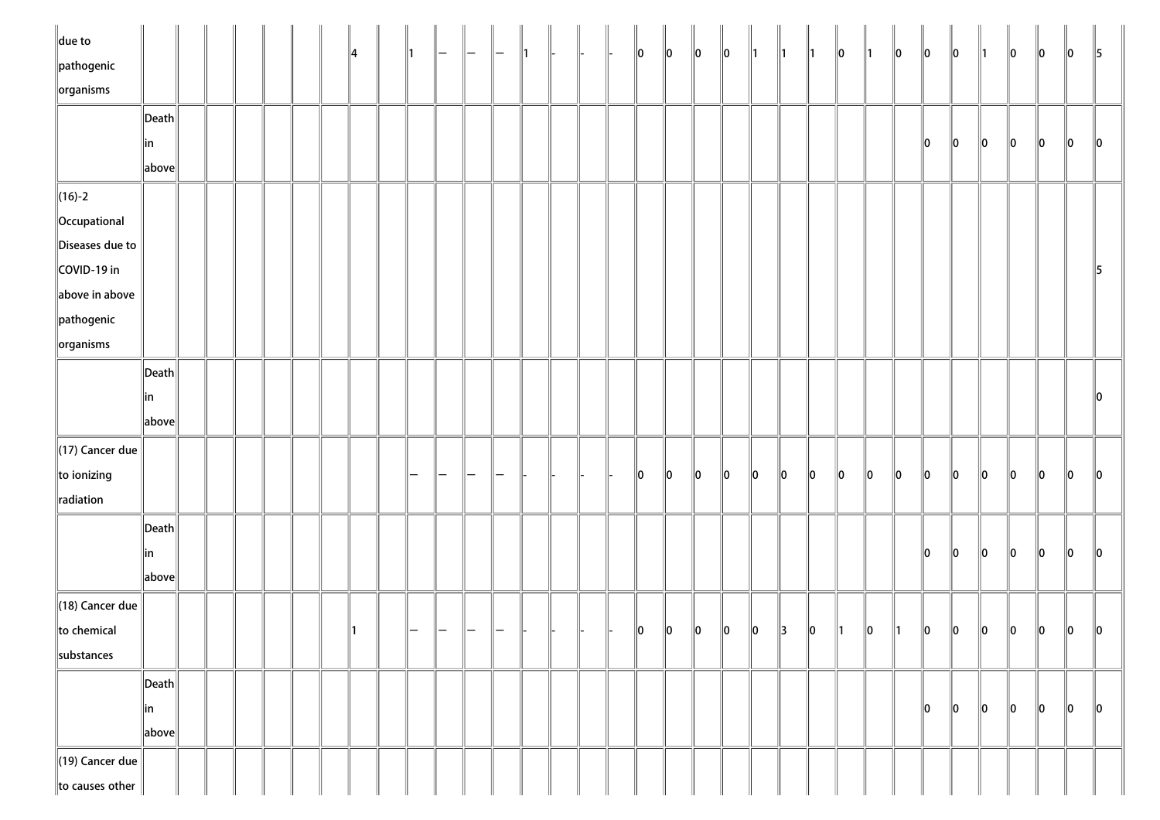| $\ $ due to<br>$\parallel$ pathogenic |                                        |  |  |  | 14 |  |  |  |  | $\ 0\ $       | $\ 0\ $ | $\ 0\ $     | $\ 0\ $     | $\parallel$ 1 | $\parallel$ 1 | $\parallel$ 1 | $\ 0\ $       | $\parallel$ 1 | $\ 0\ $       | $\ 0\ $ | $\ 0\ $ | $\parallel$ 1 | $\ 0\ $ | $\ 0\ $ | $\ 0\ $ | $\parallel$ 5 |
|---------------------------------------|----------------------------------------|--|--|--|----|--|--|--|--|---------------|---------|-------------|-------------|---------------|---------------|---------------|---------------|---------------|---------------|---------|---------|---------------|---------|---------|---------|---------------|
| $\sqrt{\frac{1}{10}}$ organisms       |                                        |  |  |  |    |  |  |  |  |               |         |             |             |               |               |               |               |               |               |         |         |               |         |         |         |               |
|                                       | $\left\Vert \mathsf{Death}\right\Vert$ |  |  |  |    |  |  |  |  |               |         |             |             |               |               |               |               |               |               |         |         |               |         |         |         |               |
|                                       | ∥in                                    |  |  |  |    |  |  |  |  |               |         |             |             |               |               |               |               |               |               | 10      | $\ 0\ $ | $\ 0\ $       | $\ 0\ $ | $\ 0\ $ | $\ 0\ $ | $\ 0\ $       |
|                                       | $\ $ above $\ $                        |  |  |  |    |  |  |  |  |               |         |             |             |               |               |               |               |               |               |         |         |               |         |         |         |               |
| $\ $ (16)-2                           |                                        |  |  |  |    |  |  |  |  |               |         |             |             |               |               |               |               |               |               |         |         |               |         |         |         |               |
| Occupational                          |                                        |  |  |  |    |  |  |  |  |               |         |             |             |               |               |               |               |               |               |         |         |               |         |         |         |               |
| Diseases due to                       |                                        |  |  |  |    |  |  |  |  |               |         |             |             |               |               |               |               |               |               |         |         |               |         |         |         |               |
| COVID-19 in                           |                                        |  |  |  |    |  |  |  |  |               |         |             |             |               |               |               |               |               |               |         |         |               |         |         |         | $\parallel$ 5 |
| above in above                        |                                        |  |  |  |    |  |  |  |  |               |         |             |             |               |               |               |               |               |               |         |         |               |         |         |         |               |
| $\parallel$ pathogenic                |                                        |  |  |  |    |  |  |  |  |               |         |             |             |               |               |               |               |               |               |         |         |               |         |         |         |               |
| $\ $ organisms                        |                                        |  |  |  |    |  |  |  |  |               |         |             |             |               |               |               |               |               |               |         |         |               |         |         |         |               |
|                                       | $\ $ Death $\ $                        |  |  |  |    |  |  |  |  |               |         |             |             |               |               |               |               |               |               |         |         |               |         |         |         |               |
|                                       | in                                     |  |  |  |    |  |  |  |  |               |         |             |             |               |               |               |               |               |               |         |         |               |         |         |         | $\ 0\ $       |
|                                       | $\ $ above $\ $                        |  |  |  |    |  |  |  |  |               |         |             |             |               |               |               |               |               |               |         |         |               |         |         |         |               |
| $\parallel$ (17) Cancer due           |                                        |  |  |  |    |  |  |  |  |               |         |             |             |               |               |               |               |               |               |         |         |               |         |         |         |               |
| to ionizing                           |                                        |  |  |  |    |  |  |  |  | $\parallel$ 0 | 10      | 10          | $ 0\rangle$ | $\ 0\ $       | $ 0\rangle$   | $ 0\rangle$   | $\ 0\ $       | $\ 0\ $       | $\ 0\ $       | $\ 0\ $ | $\ 0\ $ | $\ 0\ $       | $\ 0\ $ | $\ 0\ $ | $\ 0\ $ | $\ 0\ $       |
| radiation                             |                                        |  |  |  |    |  |  |  |  |               |         |             |             |               |               |               |               |               |               |         |         |               |         |         |         |               |
|                                       | $\left\Vert \mathsf{Death}\right\Vert$ |  |  |  |    |  |  |  |  |               |         |             |             |               |               |               |               |               |               |         |         |               |         |         |         |               |
|                                       | ∥in                                    |  |  |  |    |  |  |  |  |               |         |             |             |               |               |               |               |               |               | $\ 0\ $ | $\ 0\ $ | $\ 0\ $       | $\ 0\ $ | $\ 0\ $ | $\ 0\ $ | $\ 0\ $       |
|                                       | $\ $ above $\ $                        |  |  |  |    |  |  |  |  |               |         |             |             |               |               |               |               |               |               |         |         |               |         |         |         |               |
| $\parallel$ (18) Cancer due           |                                        |  |  |  |    |  |  |  |  |               |         |             |             |               |               |               |               |               |               |         |         |               |         |         |         |               |
| to chemical                           |                                        |  |  |  |    |  |  |  |  | 10            | $\ 0\ $ | $\parallel$ | $\ 0\ $     | $\ 0\ $       | $\parallel$ 3 | $ 0\rangle$   | $\parallel$ 1 | 10            | $\parallel$ 1 | 10      | $\ 0\ $ | $\ 0\ $       | $\ 0\ $ | $\ 0\ $ | $\ 0\ $ | $\parallel$ 0 |
| substances                            |                                        |  |  |  |    |  |  |  |  |               |         |             |             |               |               |               |               |               |               |         |         |               |         |         |         |               |
|                                       | $\left\Vert \mathsf{Death}\right\Vert$ |  |  |  |    |  |  |  |  |               |         |             |             |               |               |               |               |               |               |         |         |               |         |         |         |               |
|                                       | ∥in                                    |  |  |  |    |  |  |  |  |               |         |             |             |               |               |               |               |               |               | 10      | 10      | 10            | $\ 0\ $ | $\ 0\ $ | $\ 0\ $ | $\ 0\ $       |
|                                       | $\ $ above $\ $                        |  |  |  |    |  |  |  |  |               |         |             |             |               |               |               |               |               |               |         |         |               |         |         |         |               |
| $\parallel$ (19) Cancer due           |                                        |  |  |  |    |  |  |  |  |               |         |             |             |               |               |               |               |               |               |         |         |               |         |         |         |               |
| to causes other                       |                                        |  |  |  |    |  |  |  |  |               |         |             |             |               |               |               |               |               |               |         |         |               |         |         |         |               |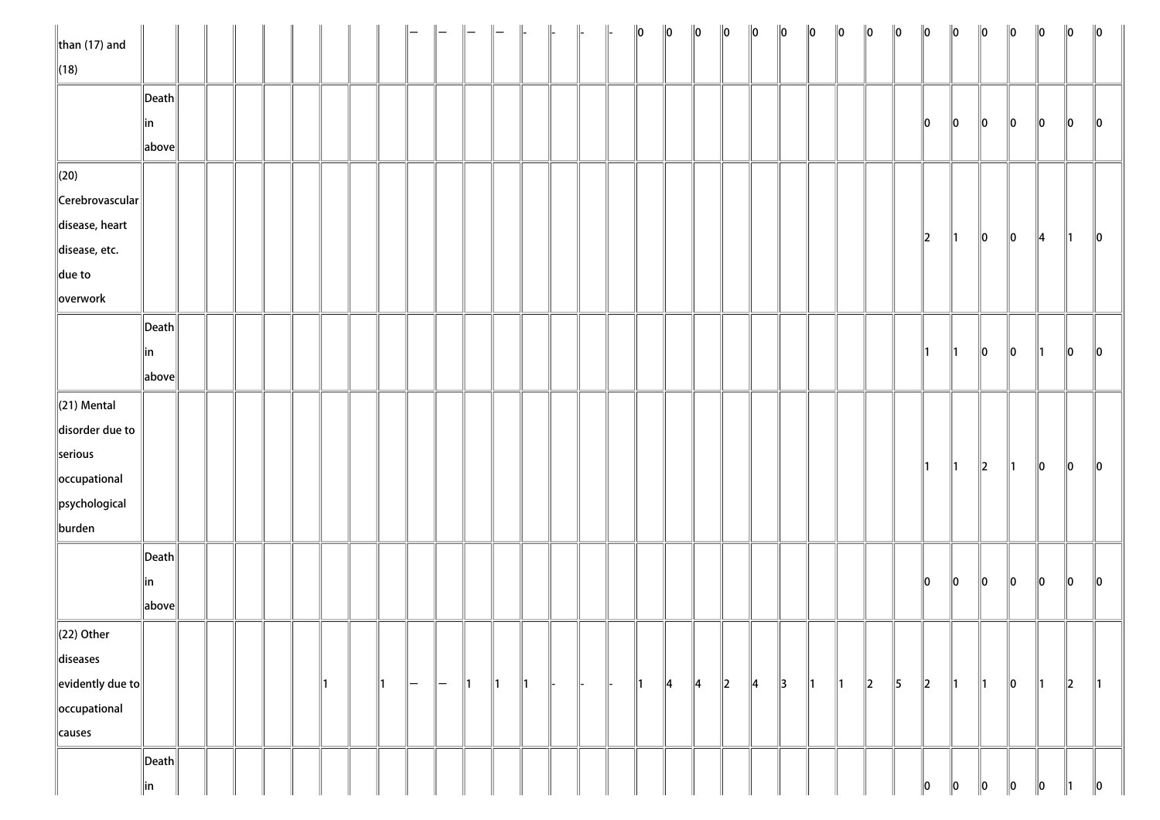| $\ $ than (17) and         |                       |  |  |  |               |    |              |               |               | $\Big\ $      | $\parallel$ |  | $\ 0\ $       | $\ 0\ $       | $\ 0\ $       | $\ 0\ $ | $\ 0\ $       | $\ 0\ $       | $\ 0\ $       | $\ 0\ $       | $\ 0\ $ | $\ 0\ $       | $\ 0\ $       | $\ 0\ $       | $\ 0\ $       | $\ 0\ $       | $\ 0\ $       | $\ 0\ $     | $\ 0\ $       |
|----------------------------|-----------------------|--|--|--|---------------|----|--------------|---------------|---------------|---------------|-------------|--|---------------|---------------|---------------|---------|---------------|---------------|---------------|---------------|---------|---------------|---------------|---------------|---------------|---------------|---------------|-------------|---------------|
| $\ $ (18)                  |                       |  |  |  |               |    |              |               |               |               |             |  |               |               |               |         |               |               |               |               |         |               |               |               |               |               |               |             |               |
|                            | $\ $ Death $\ $       |  |  |  |               |    |              |               |               |               |             |  |               |               |               |         |               |               |               |               |         |               |               |               |               |               |               |             |               |
|                            | ∥in                   |  |  |  |               |    |              |               |               |               |             |  |               |               |               |         |               |               |               |               |         |               | 10            | $\ 0\ $       | $\ 0\ $       | 10            | 10            | 10          | $\parallel$ 0 |
|                            | above                 |  |  |  |               |    |              |               |               |               |             |  |               |               |               |         |               |               |               |               |         |               |               |               |               |               |               |             |               |
| $\ $ (20)                  |                       |  |  |  |               |    |              |               |               |               |             |  |               |               |               |         |               |               |               |               |         |               |               |               |               |               |               |             |               |
| $\ $ Cerebrovascular $\ $  |                       |  |  |  |               |    |              |               |               |               |             |  |               |               |               |         |               |               |               |               |         |               |               |               |               |               |               |             |               |
| disease, heart             |                       |  |  |  |               |    |              |               |               |               |             |  |               |               |               |         |               |               |               |               |         |               |               |               |               |               |               |             |               |
| disease, etc.              |                       |  |  |  |               |    |              |               |               |               |             |  |               |               |               |         |               |               |               |               |         |               | $\ 2\ $       | ∥1            | $ 0\rangle$   | $\ 0\ $       | ∥4            | ∥1∶         | $\ 0\ $       |
| $\ $ due to                |                       |  |  |  |               |    |              |               |               |               |             |  |               |               |               |         |               |               |               |               |         |               |               |               |               |               |               |             |               |
| overwork                   |                       |  |  |  |               |    |              |               |               |               |             |  |               |               |               |         |               |               |               |               |         |               |               |               |               |               |               |             |               |
|                            | $\vert$ Death $\vert$ |  |  |  |               |    |              |               |               |               |             |  |               |               |               |         |               |               |               |               |         |               |               |               |               |               |               |             |               |
|                            | in                    |  |  |  |               |    |              |               |               |               |             |  |               |               |               |         |               |               |               |               |         |               | $\parallel$ 1 | $\parallel$ 1 | $\ 0\ $       | $\ 0\ $       | ∥1            | $\ 0\ $     | $\parallel$ 0 |
|                            | above                 |  |  |  |               |    |              |               |               |               |             |  |               |               |               |         |               |               |               |               |         |               |               |               |               |               |               |             |               |
| $\ $ (21) Mental           |                       |  |  |  |               |    |              |               |               |               |             |  |               |               |               |         |               |               |               |               |         |               |               |               |               |               |               |             |               |
| disorder due to            |                       |  |  |  |               |    |              |               |               |               |             |  |               |               |               |         |               |               |               |               |         |               |               |               |               |               |               |             |               |
| serious                    |                       |  |  |  |               |    |              |               |               |               |             |  |               |               |               |         |               |               |               |               |         |               |               |               |               |               |               |             |               |
| occupational               |                       |  |  |  |               |    |              |               |               |               |             |  |               |               |               |         |               |               |               |               |         |               | $\parallel$ 1 | $\parallel$ 1 | $\ 2\ $       | $\parallel$ 1 | $\ 0\ $       | $ 0\rangle$ | $\ 0\ $       |
| psychological              |                       |  |  |  |               |    |              |               |               |               |             |  |               |               |               |         |               |               |               |               |         |               |               |               |               |               |               |             |               |
| burden                     |                       |  |  |  |               |    |              |               |               |               |             |  |               |               |               |         |               |               |               |               |         |               |               |               |               |               |               |             |               |
|                            | $\ $ Death $\ $       |  |  |  |               |    |              |               |               |               |             |  |               |               |               |         |               |               |               |               |         |               |               |               |               |               |               |             |               |
|                            | ∥in                   |  |  |  |               |    |              |               |               |               |             |  |               |               |               |         |               |               |               |               |         |               | $\parallel$ 0 | $\ 0\ $       | $ 0\rangle$   | $\ 0\ $       | $\ 0\ $       | $ 0\rangle$ | $\ 0\ $       |
|                            | above                 |  |  |  |               |    |              |               |               |               |             |  |               |               |               |         |               |               |               |               |         |               |               |               |               |               |               |             |               |
| $\ $ (22) Other            |                       |  |  |  |               |    |              |               |               |               |             |  |               |               |               |         |               |               |               |               |         |               |               |               |               |               |               |             |               |
| diseases                   |                       |  |  |  |               |    |              |               |               |               |             |  |               |               |               |         |               |               |               |               |         |               |               |               |               |               |               |             |               |
| $\ $ evidently due to $\ $ |                       |  |  |  | $\parallel$ 1 | ∥— | $\mathsf{l}$ | $\parallel$ 1 | $\parallel$ 1 | $\parallel$ 1 |             |  | $\parallel$ 1 | $\parallel$ 4 | $\parallel$ 4 | $\ 2\ $ | $\parallel$ 4 | $\parallel$ 3 | $\parallel$ 1 | $\parallel$ 1 | $\ 2\ $ | $\parallel$ 5 | $\ 2\ $       | $\parallel$ 1 | $\parallel$ 1 | $\ 0\ $       | $\parallel$ 1 | $\ 2\ $     | $\parallel$ 1 |
| occupational               |                       |  |  |  |               |    |              |               |               |               |             |  |               |               |               |         |               |               |               |               |         |               |               |               |               |               |               |             |               |
| causes                     |                       |  |  |  |               |    |              |               |               |               |             |  |               |               |               |         |               |               |               |               |         |               |               |               |               |               |               |             |               |
|                            | $\vert$ Death $\vert$ |  |  |  |               |    |              |               |               |               |             |  |               |               |               |         |               |               |               |               |         |               |               |               |               |               |               |             |               |
|                            | in                    |  |  |  |               |    |              |               |               |               |             |  |               |               |               |         |               |               |               |               |         |               | 10            | 10            | 10            | 10            | 10            |             | ∥0            |